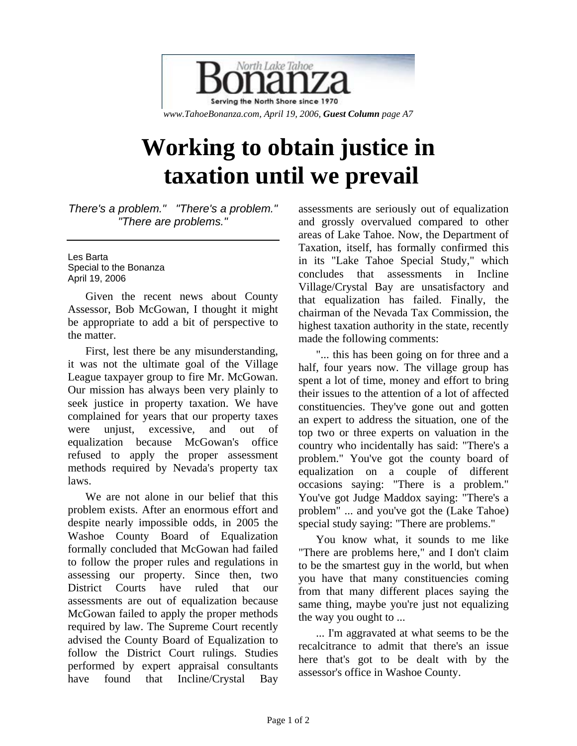

## **Working to obtain justice in taxation until we prevail**

*There's a problem." "There's a problem." "There are problems."* 

Les Barta Special to the Bonanza April 19, 2006

Given the recent news about County Assessor, Bob McGowan, I thought it might be appropriate to add a bit of perspective to the matter.

First, lest there be any misunderstanding, it was not the ultimate goal of the Village League taxpayer group to fire Mr. McGowan. Our mission has always been very plainly to seek justice in property taxation. We have complained for years that our property taxes were unjust, excessive, and out of equalization because McGowan's office refused to apply the proper assessment methods required by Nevada's property tax laws.

We are not alone in our belief that this problem exists. After an enormous effort and despite nearly impossible odds, in 2005 the Washoe County Board of Equalization formally concluded that McGowan had failed to follow the proper rules and regulations in assessing our property. Since then, two District Courts have ruled that our assessments are out of equalization because McGowan failed to apply the proper methods required by law. The Supreme Court recently advised the County Board of Equalization to follow the District Court rulings. Studies performed by expert appraisal consultants have found that Incline/Crystal Bay assessments are seriously out of equalization and grossly overvalued compared to other areas of Lake Tahoe. Now, the Department of Taxation, itself, has formally confirmed this in its "Lake Tahoe Special Study," which concludes that assessments in Incline Village/Crystal Bay are unsatisfactory and that equalization has failed. Finally, the chairman of the Nevada Tax Commission, the highest taxation authority in the state, recently made the following comments:

"... this has been going on for three and a half, four years now. The village group has spent a lot of time, money and effort to bring their issues to the attention of a lot of affected constituencies. They've gone out and gotten an expert to address the situation, one of the top two or three experts on valuation in the country who incidentally has said: "There's a problem." You've got the county board of equalization on a couple of different occasions saying: "There is a problem." You've got Judge Maddox saying: "There's a problem" ... and you've got the (Lake Tahoe) special study saying: "There are problems."

You know what, it sounds to me like "There are problems here," and I don't claim to be the smartest guy in the world, but when you have that many constituencies coming from that many different places saying the same thing, maybe you're just not equalizing the way you ought to ...

... I'm aggravated at what seems to be the recalcitrance to admit that there's an issue here that's got to be dealt with by the assessor's office in Washoe County.